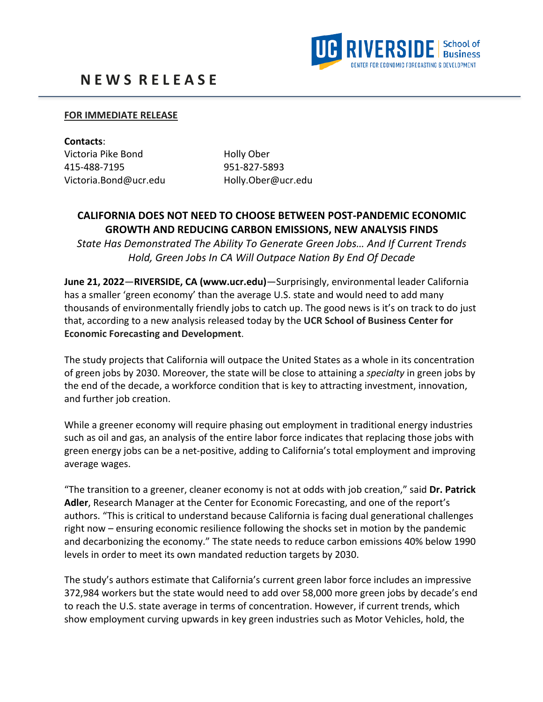

## **FOR IMMEDIATE RELEASE**

**Contacts**: Victoria Pike Bond Holly Ober 415-488-7195 951-827-5893 Victoria.Bond@ucr.edu Holly.Ober@ucr.edu

## **CALIFORNIA DOES NOT NEED TO CHOOSE BETWEEN POST-PANDEMIC ECONOMIC GROWTH AND REDUCING CARBON EMISSIONS, NEW ANALYSIS FINDS**

*State Has Demonstrated The Ability To Generate Green Jobs… And If Current Trends Hold, Green Jobs In CA Will Outpace Nation By End Of Decade*

**June 21, 2022**—**RIVERSIDE, CA (www.ucr.edu)**—Surprisingly, environmental leader California has a smaller 'green economy' than the average U.S. state and would need to add many thousands of environmentally friendly jobs to catch up. The good news is it's on track to do just that, according to a new analysis released today by the **UCR School of Business Center for Economic Forecasting and Development**.

The study projects that California will outpace the United States as a whole in its concentration of green jobs by 2030. Moreover, the state will be close to attaining a *specialty* in green jobs by the end of the decade, a workforce condition that is key to attracting investment, innovation, and further job creation.

While a greener economy will require phasing out employment in traditional energy industries such as oil and gas, an analysis of the entire labor force indicates that replacing those jobs with green energy jobs can be a net-positive, adding to California's total employment and improving average wages.

"The transition to a greener, cleaner economy is not at odds with job creation," said **Dr. Patrick Adler**, Research Manager at the Center for Economic Forecasting, and one of the report's authors. "This is critical to understand because California is facing dual generational challenges right now – ensuring economic resilience following the shocks set in motion by the pandemic and decarbonizing the economy." The state needs to reduce carbon emissions 40% below 1990 levels in order to meet its own mandated reduction targets by 2030.

The study's authors estimate that California's current green labor force includes an impressive 372,984 workers but the state would need to add over 58,000 more green jobs by decade's end to reach the U.S. state average in terms of concentration. However, if current trends, which show employment curving upwards in key green industries such as Motor Vehicles, hold, the